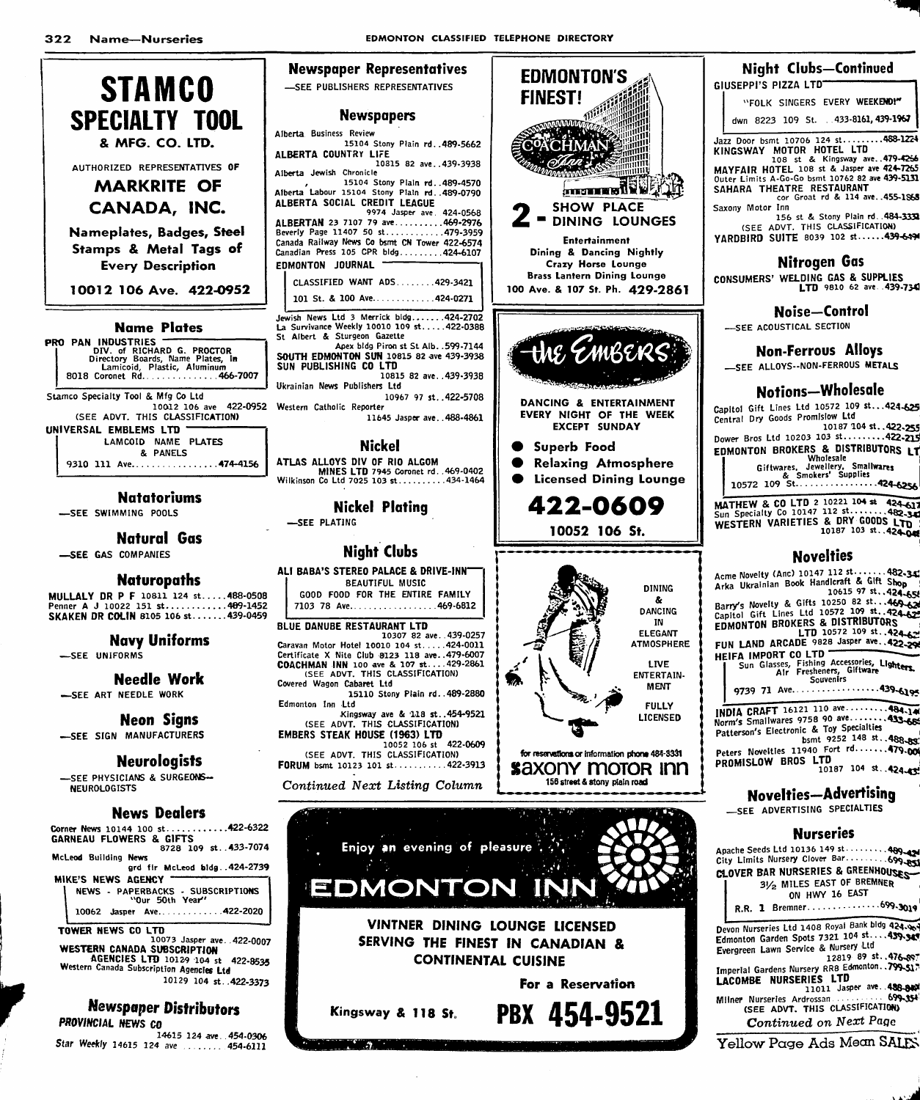**EDMONTON'S** 

**Newspaper Representatives** 



| UNIVERSAL EMBLEMS LTD |                      |  |
|-----------------------|----------------------|--|
|                       | LAMCOID NAME PLATES  |  |
|                       | & PANELS             |  |
|                       | 9310 111 Ave474-4156 |  |

#### **Natatoriums**

-SEE SWIMMING POOLS

**Natural Gas** 

-SEE GAS COMPANIES

#### **Naturopaths**

MULLALY DR P F 10811 124 st.....488-0508<br>Penner A J 10022 151 st............489-1452 SKAKEN DR COLIN 8105 106 st......439-0459

# **Navy Uniforms**

-SEE UNIFORMS

#### **Needle Work**

-SEE ART NEEDLE WORK

#### **Neon Signs**

-SEE SIGN MANUFACTURERS

#### **Neurologists**

-SEE PHYSICIANS & SURGEONS-**NEUROLOGISTS** 

#### **News Dealers**

....422-6322 Corner News 10144 100 st....... GARNEAU FLOWERS & GIFTS<br>628 109 st...433-7074 McLeod Building News

ard fir McLeod bldg..424-2739 MIKE'S NEWS AGENCY

NEWS - PAPERBACKS - SUBSCRIPTIONS 10062 Jasper Ave.............422-2020

#### TOWER NEWS CO LTD

...<br>10073 Jasper ave..422-0007 WESTERN CANADA SUBSCRIPTION<br>AGENCIES LTD 10129 104 st 422-8535 Western Canada Subscription Agencies Ltd 10129 104 st. 422-3373

## **Newspaper Distributors** PROVINCIAL NEWS CO

14615 124 ave..454-0306 Star Weekly 14615 124 ave ........ 454-6111

| <b>-SEE PUBLISHERS REPRESENTATIVES</b>                                                                                                                                                                                              | <b>FINEST!</b>                             |
|-------------------------------------------------------------------------------------------------------------------------------------------------------------------------------------------------------------------------------------|--------------------------------------------|
| <b>Newspapers</b>                                                                                                                                                                                                                   | mmun                                       |
| Alberta Business Review<br>15104 Stony Plain rd. . 489-5662<br>ALBERTA COUNTRY LIFE                                                                                                                                                 |                                            |
| 10815 82 ave439-3938<br>Alberta Jewish Chronicle                                                                                                                                                                                    | <i>Llinni</i> nn                           |
| 15104 Stony Plain rd. . 489-4570<br>Alberta Labour 15104 Stony Plain rd. . 489-0790<br>ALBERTA SOCIAL CREDIT LEAGUE<br>9974 Jasper ave 424-0568                                                                                     | (mmo<br><b>SHO\</b>                        |
| ALBERTAN 23 7107 79 ave469-2976<br>Beverly Page 11407 50 st479-3959<br>Canada Railway News Co bsmt CN Tower 422-6574<br>Canadian Press 105 CPR bldg 424-6107                                                                        | $2 - \frac{3}{10}$<br>Enter<br>Dining & D  |
| <b>JOURNAL</b><br>EDMONTON<br>CLASSIFIED WANT ADS429-3421                                                                                                                                                                           | Crazy H<br><b>Brass Lanter</b>             |
| 101 St. & 100 Ave424-0271                                                                                                                                                                                                           | 100 Ave. & 107                             |
| Jewish News Ltd 3 Merrick bldg424-2702<br>La Survivance Weekly 10010 109 st422-0388<br>St Albert & Sturgeon Gazette                                                                                                                 |                                            |
| Apex bldg Piron st St Alb. . 599-7144<br>SOUTH EDMONTON SUN 10815 82 ave 439-3938<br>SUN PUBLISHING CO LTD<br>10815 82 ave439-3938                                                                                                  |                                            |
| Ukrainian News Publishers Ltd<br>10967 97 st422-5708<br>Western Catholic Reporter                                                                                                                                                   | ಾರಾಜಕಾರ್ಯದಲ್ಲಿ<br>DANCING &                |
| 11645 Jasper ave488-4861                                                                                                                                                                                                            | <b>EVERY NIGH</b><br><b>EXCEP</b>          |
| <b>Nickel</b>                                                                                                                                                                                                                       | Superb<br>$\bullet$<br>Relaxing            |
| ATLAS ALLOYS DIV OF RIO ALGOM<br>MINES LTD 7945 Coronet rd. .469-0402<br>Wilkinson Co Ltd 7025 103 st434-1464                                                                                                                       | Licensed                                   |
|                                                                                                                                                                                                                                     |                                            |
| Nickel Plating                                                                                                                                                                                                                      | 422.                                       |
| -SEE PLATING                                                                                                                                                                                                                        | 10052                                      |
| <b>Night Clubs</b>                                                                                                                                                                                                                  |                                            |
| ALI BABA'S STEREO PALACE & DRIVE-INN"<br><b>BEAUTIFUL MUSIC</b><br>GOOD FOOD FOR THE ENTIRE FAMILY<br>7103 78 Ave469-6812                                                                                                           |                                            |
| <b>BLUE DANUBE RESTAURANT LTD</b><br>10307 82 ave. 439-0257<br>Caravan Motor Hotel 10010 104 st424-0011<br>Certificate X Nite Club 8123 118 ave479-6007<br>COACHMAN INN 100 ave & 107 st429-2861<br>(SEE ADVT. THIS CLASSIFICATION) |                                            |
| Covered Wagon Cabaret Ltd<br>15110 Stony Plain rd. . 489-2880<br>Edmonton Inn Ltd<br>Kingsway ave & 118 st454-9521                                                                                                                  |                                            |
| (SEE ADVT. THIS CLASSIFICATION)<br><b>EMBERS STEAK HOUSE (1963) LTD</b><br>422-0609<br>10052 106 st                                                                                                                                 |                                            |
| (SEE ADVT. THIS CLASSIFICATION)<br>FORUM bsmt 10123 101 st422-3913                                                                                                                                                                  | for reservations or<br>axc<br>156 street & |
| Continued Next Listing Column                                                                                                                                                                                                       |                                            |
| Enjoy an evening of pleasure                                                                                                                                                                                                        |                                            |

Kingsway & 118 St.

 $\mathbf{r}$ 



#### **Night Clubs-Continued** GIUSEPPI'S PIZZA LTD"

"FOLK SINGERS EVERY WEEKEND!"

dwn 8223 109 St. . . 433-8161, 439-1967

Jazz Door bsmt 10706 124 st.........488-1224<br>KINGSWAY MOTOR HOTEL LTD<br>108 st & Kingsway ave..479-4256<br>MAYFAIR HOTEL 108 st & Jasper ave 424-7265

Outer Limits A-Go-Go bsmt 10762 82 ave 439-5131<br>SAHARA THEATRE RESTAURANT cor Groat rd & 114 ave..455-1868

156 st & Stony Plain rd. 484-333

(SEE ADVT. THIS CLASSIFICATION)

#### **Nitrogen Gas**

CONSUMERS' WELDING GAS & SUPPLIES

#### Noise-Control

-SEE ACOUSTICAL SECTION

#### **Non-Ferrous Alloys**

-SEE ALLOYS--NON-FERROUS METALS

## Notions-Wholesale

Capitol Gift Lines Ltd 10572 109 st... 424-625 Central Dry Goods Promislow Ltd

Central Dry Goods From Sour Eve<br>10187 104 st..422-255<br>22-215 Dower Bros Ltd 10203 103 st.........422-215 EDMONTON BROKERS & DISTRIBUTORS LT

MUNIUN BRUKERS & PUSITION UNIVERSITY<br>Giftwares, Jewellery, Smallwares<br>10572 109 & Smokers' Supplies<br>10572 109 St.........................424-6256

MATHEW & CO LTD 2 10221 104 # 424-617<br>Sun Specialty Co 10147 112 st........482-330<br>WESTERN VARIETIES & DRY GOODS LTD<br>10187 103 st..424-048

## **Novelties**

Acme Novelty (Anc) 10147 112 st.......482-34<br>Arka Ukrainian Book Handleraft & Gift Shop<br>10615 97 st..424-654 Acme Novelty (Anc) 10147 112 st. Barry's Novelty & Gifts 10250 82 st...424-650<br>Capitol Gift Lines Ltd 10572 109 st...424-62<br>EDMONTON BROKERS & DISTRIBUTORS<br>EDMONTON BROKERS & DISTRIBUTORS<br>FUN LAND ARCADE 9828 Jasper ave...422-29 **HEIFA IMPORT CO LTD** A IMPORT CO LID<br>Sun Glasses, Fishing Accessories, Lighters.<br>Air Fresheners, Giftware<br>Souvenirs 

INDIA CRAFT 16121 110 ave.........484-14 Norm's Smallwares 9758 90 ave.... Peters Novelties 11940 Fort rd.......479.00 PROMISLOW BROS LTD 10187 104 st. 424-43

## **Novelties-Advertising**

SEE ADVERTISING SPECIALTIES

#### **Nurseries**

Apache Seeds Ltd 10136 149 st.......... 489-42 City Limits Nursery Clover Bar............. 699-851 CLOVER BAR NURSERIES & GREENHOUSES 31/2 MILES EAST OF BREMNER ON HWY 16 EAST R.R. 1 Bremner....................699.3019 Devon Nurseries Ltd 1408 Royal Bank bldg 424.98 Evergreen Lawn Service & Nursery Ltd

Everyreen Lawn Jervice & Hollary 2819 89 st. 476-887 LACOMBE NURSERIES LTD<br>11011 Jasper ave. 488-840  $-699.354$ Continued on Next Page

Yellow Page Ads Mean SALES